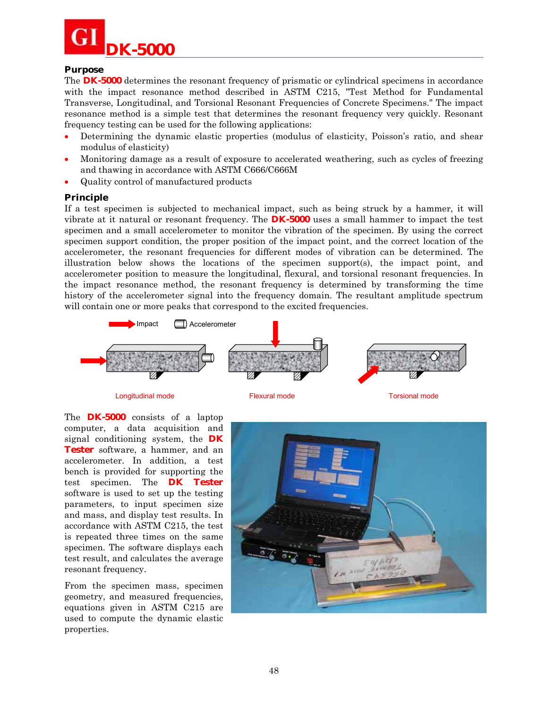

### **Purpose**

The **DK-5000** determines the resonant frequency of prismatic or cylindrical specimens in accordance with the impact resonance method described in ASTM C215, "Test Method for Fundamental Transverse, Longitudinal, and Torsional Resonant Frequencies of Concrete Specimens." The impact resonance method is a simple test that determines the resonant frequency very quickly. Resonant frequency testing can be used for the following applications:

- Determining the dynamic elastic properties (modulus of elasticity, Poisson's ratio, and shear modulus of elasticity)
- Monitoring damage as a result of exposure to accelerated weathering, such as cycles of freezing and thawing in accordance with ASTM C666/C666M
- Quality control of manufactured products

### **Principle**

If a test specimen is subjected to mechanical impact, such as being struck by a hammer, it will vibrate at it natural or resonant frequency. The **DK-5000** uses a small hammer to impact the test specimen and a small accelerometer to monitor the vibration of the specimen. By using the correct specimen support condition, the proper position of the impact point, and the correct location of the accelerometer, the resonant frequencies for different modes of vibration can be determined. The illustration below shows the locations of the specimen support(s), the impact point, and accelerometer position to measure the longitudinal, flexural, and torsional resonant frequencies. In the impact resonance method, the resonant frequency is determined by transforming the time history of the accelerometer signal into the frequency domain. The resultant amplitude spectrum will contain one or more peaks that correspond to the excited frequencies.



Longitudinal mode **Flexural mode** Flexural mode Torsional mode

The **DK-5000** consists of a laptop computer, a data acquisition and signal conditioning system, the **DK Tester** software, a hammer, and an accelerometer. In addition, a test bench is provided for supporting the test specimen. The **DK Tester** software is used to set up the testing parameters, to input specimen size and mass, and display test results. In accordance with ASTM C215, the test is repeated three times on the same specimen. The software displays each test result, and calculates the average resonant frequency.

From the specimen mass, specimen geometry, and measured frequencies, equations given in ASTM C215 are used to compute the dynamic elastic properties.